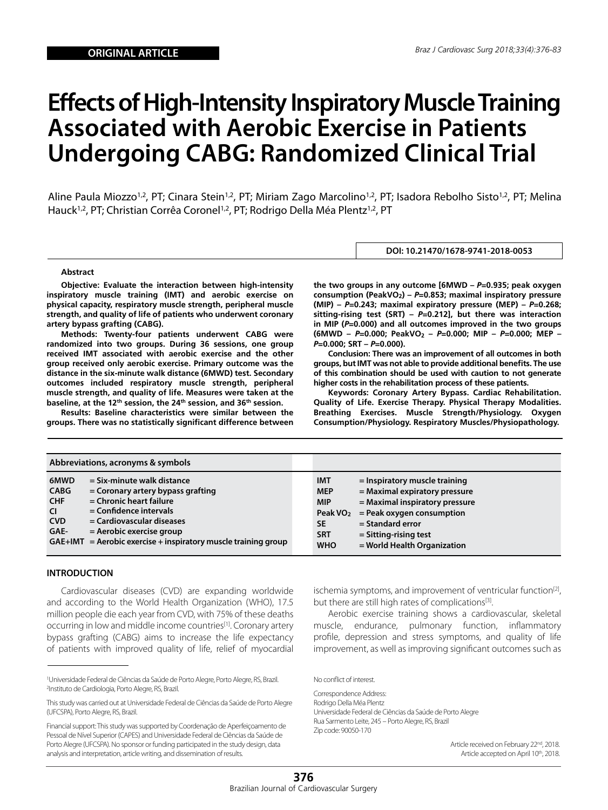# **Effects of High-Intensity Inspiratory Muscle Training Associated with Aerobic Exercise in Patients Undergoing CABG: Randomized Clinical Trial**

Aline Paula Miozzo<sup>1,2</sup>, PT; Cinara Stein<sup>1,2</sup>, PT; Miriam Zago Marcolino<sup>1,2</sup>, PT; Isadora Rebolho Sisto<sup>1,2</sup>, PT; Melina Hauck<sup>1,2</sup>, PT; Christian Corrêa Coronel<sup>1,2</sup>, PT; Rodrigo Della Méa Plentz<sup>1,2</sup>, PT

#### **Abstract**

**Objective: Evaluate the interaction between high-intensity inspiratory muscle training (IMT) and aerobic exercise on physical capacity, respiratory muscle strength, peripheral muscle strength, and quality of life of patients who underwent coronary artery bypass grafting (CABG).** 

**Methods: Twenty-four patients underwent CABG were randomized into two groups. During 36 sessions, one group received IMT associated with aerobic exercise and the other group received only aerobic exercise. Primary outcome was the distance in the six-minute walk distance (6MWD) test. Secondary outcomes included respiratory muscle strength, peripheral muscle strength, and quality of life. Measures were taken at the baseline, at the 12th session, the 24th session, and 36th session.** 

**Results: Baseline characteristics were similar between the groups. There was no statistically significant difference between** 

**DOI: 10.21470/1678-9741-2018-0053**

**the two groups in any outcome [6MWD –** *P***=0.935; peak oxygen consumption (PeakVO2) –** *P***=0.853; maximal inspiratory pressure (MIP) –** *P***=0.243; maximal expiratory pressure (MEP) –** *P***=0.268; sitting-rising test (SRT) –** *P***=0.212], but there was interaction in MIP (***P***=0.000) and all outcomes improved in the two groups (6MWD –** *P***=0.000; PeakVO2 –** *P***=0.000; MIP –** *P***=0.000; MEP –**  *P***=0.000; SRT –** *P***=0.000).** 

**Conclusion: There was an improvement of all outcomes in both groups, but IMT was not able to provide additional benefits. The use of this combination should be used with caution to not generate higher costs in the rehabilitation process of these patients.**

**Keywords: Coronary Artery Bypass. Cardiac Rehabilitation. Quality of Life. Exercise Therapy. Physical Therapy Modalities. Breathing Exercises. Muscle Strength/Physiology. Oxygen Consumption/Physiology. Respiratory Muscles/Physiopathology.**

|                                                                            | Abbreviations, acronyms & symbols                                                                                                                                                                                                                         |                                                                                                         |                                                                                                                                                                                                                   |
|----------------------------------------------------------------------------|-----------------------------------------------------------------------------------------------------------------------------------------------------------------------------------------------------------------------------------------------------------|---------------------------------------------------------------------------------------------------------|-------------------------------------------------------------------------------------------------------------------------------------------------------------------------------------------------------------------|
| 6MWD<br><b>CABG</b><br><b>CHF</b><br><b>CI</b><br><b>CVD</b><br><b>GAE</b> | = Six-minute walk distance<br>$=$ Coronary artery bypass grafting<br>$=$ Chronic heart failure<br>$=$ Confidence intervals<br>$=$ Cardiovascular diseases<br>= Aerobic exercise group<br>$GAE+IMT = Aerobic exercise + inspiratory muscle training group$ | <b>IMT</b><br><b>MEP</b><br><b>MIP</b><br>Peak VO <sub>2</sub><br><b>SE</b><br><b>SRT</b><br><b>WHO</b> | $=$ Inspiratory muscle training<br>= Maximal expiratory pressure<br>= Maximal inspiratory pressure<br>$=$ Peak oxygen consumption<br>$=$ Standard error<br>$=$ Sitting-rising test<br>= World Health Organization |

# **INTRODUCTION**

Cardiovascular diseases (CVD) are expanding worldwide and according to the World Health Organization (WHO), 17.5 million people die each year from CVD, with 75% of these deaths occurring in low and middle income countries<sup>[1]</sup>. Coronary artery bypass grafting (CABG) aims to increase the life expectancy of patients with improved quality of life, relief of myocardial ischemia symptoms, and improvement of ventricular function<sup>[2]</sup>, but there are still high rates of complications<sup>[3]</sup>.

Aerobic exercise training shows a cardiovascular, skeletal muscle, endurance, pulmonary function, inflammatory profile, depression and stress symptoms, and quality of life improvement, as well as improving significant outcomes such as

Correspondence Address: Rodrigo Della Méa Plentz Universidade Federal de Ciências da Saúde de Porto Alegre Rua Sarmento Leite, 245 – Porto Alegre, RS, Brazil Zip code: 90050-170

> Article received on February 22<sup>nd</sup>, 2018. Article accepted on April 10th, 2018.

<sup>1</sup> Universidade Federal de Ciências da Saúde de Porto Alegre, Porto Alegre, RS, Brazil. 2 Instituto de Cardiologia, Porto Alegre, RS, Brazil.

This study was carried out at Universidade Federal de Ciências da Saúde de Porto Alegre (UFCSPA), Porto Alegre, RS, Brazil.

Financial support: This study was supported by Coordenação de Aperfeiçoamento de Pessoal de Nível Superior (CAPES) and Universidade Federal de Ciências da Saúde de Porto Alegre (UFCSPA). No sponsor or funding participated in the study design, data analysis and interpretation, article writing, and dissemination of results.

No conflict of interest.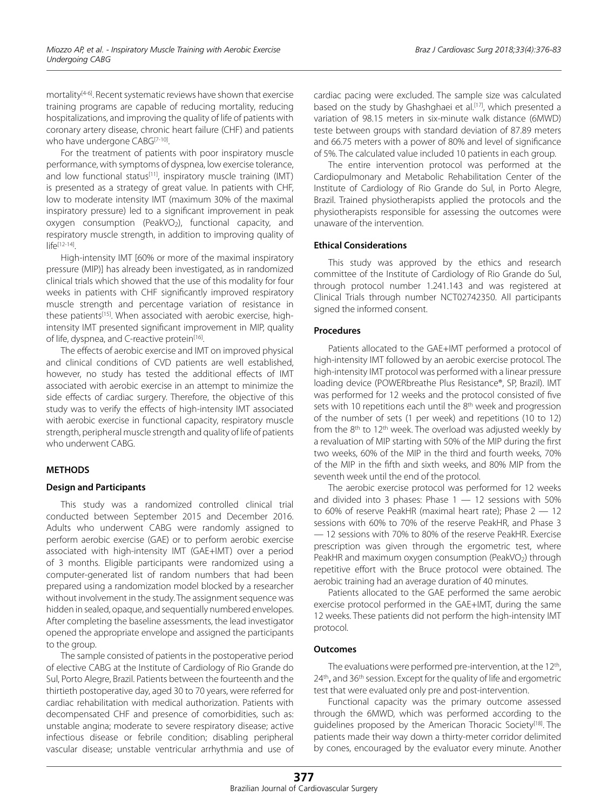mortality<sup>[4-6]</sup>. Recent systematic reviews have shown that exercise training programs are capable of reducing mortality, reducing hospitalizations, and improving the quality of life of patients with coronary artery disease, chronic heart failure (CHF) and patients who have undergone CABG<sup>[7-10]</sup>.

For the treatment of patients with poor inspiratory muscle performance, with symptoms of dyspnea, low exercise tolerance, and low functional status<sup>[11]</sup>, inspiratory muscle training (IMT) is presented as a strategy of great value. In patients with CHF, low to moderate intensity IMT (maximum 30% of the maximal inspiratory pressure) led to a significant improvement in peak oxygen consumption (PeakVO<sub>2</sub>), functional capacity, and respiratory muscle strength, in addition to improving quality of  $life[12-14]$ 

High-intensity IMT [60% or more of the maximal inspiratory pressure (MIP)] has already been investigated, as in randomized clinical trials which showed that the use of this modality for four weeks in patients with CHF significantly improved respiratory muscle strength and percentage variation of resistance in these patients<sup>[15]</sup>. When associated with aerobic exercise, highintensity IMT presented significant improvement in MIP, quality of life, dyspnea, and C-reactive protein<sup>[16]</sup>.

The effects of aerobic exercise and IMT on improved physical and clinical conditions of CVD patients are well established, however, no study has tested the additional effects of IMT associated with aerobic exercise in an attempt to minimize the side effects of cardiac surgery. Therefore, the objective of this study was to verify the effects of high-intensity IMT associated with aerobic exercise in functional capacity, respiratory muscle strength, peripheral muscle strength and quality of life of patients who underwent CABG.

# **METHODS**

### **Design and Participants**

This study was a randomized controlled clinical trial conducted between September 2015 and December 2016. Adults who underwent CABG were randomly assigned to perform aerobic exercise (GAE) or to perform aerobic exercise associated with high-intensity IMT (GAE+IMT) over a period of 3 months. Eligible participants were randomized using a computer-generated list of random numbers that had been prepared using a randomization model blocked by a researcher without involvement in the study. The assignment sequence was hidden in sealed, opaque, and sequentially numbered envelopes. After completing the baseline assessments, the lead investigator opened the appropriate envelope and assigned the participants to the group.

The sample consisted of patients in the postoperative period of elective CABG at the Institute of Cardiology of Rio Grande do Sul, Porto Alegre, Brazil. Patients between the fourteenth and the thirtieth postoperative day, aged 30 to 70 years, were referred for cardiac rehabilitation with medical authorization. Patients with decompensated CHF and presence of comorbidities, such as: unstable angina; moderate to severe respiratory disease; active infectious disease or febrile condition; disabling peripheral vascular disease; unstable ventricular arrhythmia and use of

cardiac pacing were excluded. The sample size was calculated based on the study by Ghashghaei et al.<sup>[17]</sup>, which presented a variation of 98.15 meters in six-minute walk distance (6MWD) teste between groups with standard deviation of 87.89 meters and 66.75 meters with a power of 80% and level of significance of 5%. The calculated value included 10 patients in each group.

The entire intervention protocol was performed at the Cardiopulmonary and Metabolic Rehabilitation Center of the Institute of Cardiology of Rio Grande do Sul, in Porto Alegre, Brazil. Trained physiotherapists applied the protocols and the physiotherapists responsible for assessing the outcomes were unaware of the intervention.

### **Ethical Considerations**

This study was approved by the ethics and research committee of the Institute of Cardiology of Rio Grande do Sul, through protocol number 1.241.143 and was registered at Clinical Trials through number NCT02742350. All participants signed the informed consent.

### **Procedures**

Patients allocated to the GAE+IMT performed a protocol of high-intensity IMT followed by an aerobic exercise protocol. The high-intensity IMT protocol was performed with a linear pressure loading device (POWERbreathe Plus Resistance®, SP, Brazil). IMT was performed for 12 weeks and the protocol consisted of five sets with 10 repetitions each until the 8<sup>th</sup> week and progression of the number of sets (1 per week) and repetitions (10 to 12) from the 8<sup>th</sup> to 12<sup>th</sup> week. The overload was adjusted weekly by a revaluation of MIP starting with 50% of the MIP during the first two weeks, 60% of the MIP in the third and fourth weeks, 70% of the MIP in the fifth and sixth weeks, and 80% MIP from the seventh week until the end of the protocol.

The aerobic exercise protocol was performed for 12 weeks and divided into 3 phases: Phase  $1 - 12$  sessions with 50% to 60% of reserve PeakHR (maximal heart rate); Phase 2 — 12 sessions with 60% to 70% of the reserve PeakHR, and Phase 3 — 12 sessions with 70% to 80% of the reserve PeakHR. Exercise prescription was given through the ergometric test, where PeakHR and maximum oxygen consumption (PeakVO<sub>2</sub>) through repetitive effort with the Bruce protocol were obtained. The aerobic training had an average duration of 40 minutes.

Patients allocated to the GAE performed the same aerobic exercise protocol performed in the GAE+IMT, during the same 12 weeks. These patients did not perform the high-intensity IMT protocol.

## **Outcomes**

The evaluations were performed pre-intervention, at the 12<sup>th</sup>, 24<sup>th</sup>, and 36<sup>th</sup> session. Except for the quality of life and ergometric test that were evaluated only pre and post-intervention.

Functional capacity was the primary outcome assessed through the 6MWD, which was performed according to the guidelines proposed by the American Thoracic Society<sup>[18]</sup>. The patients made their way down a thirty-meter corridor delimited by cones, encouraged by the evaluator every minute. Another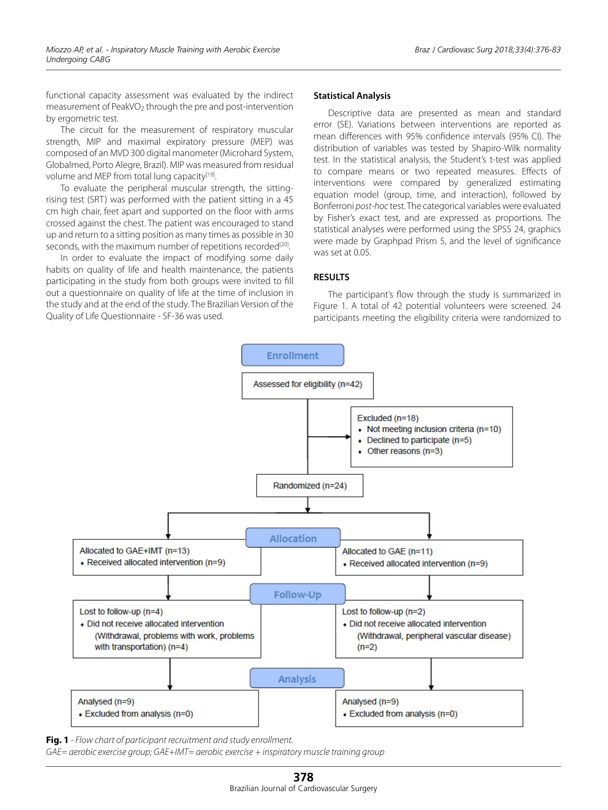functional capacity assessment was evaluated by the indirect measurement of PeakVO<sub>2</sub> through the pre and post-intervention by ergometric test.

The circuit for the measurement of respiratory muscular strength, MIP and maximal expiratory pressure (MEP) was composed of an MVD 300 digital manometer (Microhard System, Globalmed, Porto Alegre, Brazil). MIP was measured from residual volume and MEP from total lung capacity<sup>[19]</sup>.

To evaluate the peripheral muscular strength, the sittingrising test (SRT) was performed with the patient sitting in a 45 cm high chair, feet apart and supported on the floor with arms crossed against the chest. The patient was encouraged to stand up and return to a sitting position as many times as possible in 30 seconds, with the maximum number of repetitions recorded<sup>[20]</sup>.

In order to evaluate the impact of modifying some daily habits on quality of life and health maintenance, the patients participating in the study from both groups were invited to fill out a questionnaire on quality of life at the time of inclusion in the study and at the end of the study. The Brazilian Version of the Quality of Life Questionnaire - SF-36 was used.

#### **Statistical Analysis**

Descriptive data are presented as mean and standard error (SE). Variations between interventions are reported as mean differences with 95% confidence intervals (95% CI). The distribution of variables was tested by Shapiro-Wilk normality test. In the statistical analysis, the Student's t-test was applied to compare means or two repeated measures. Effects of interventions were compared by generalized estimating equation model (group, time, and interaction), followed by Bonferroni *post-hoc* test. The categorical variables were evaluated by Fisher's exact test, and are expressed as proportions. The statistical analyses were performed using the SPSS 24, graphics were made by Graphpad Prism 5, and the level of significance was set at 0.05.

# **RESULTS**

The participant's flow through the study is summarized in Figure 1. A total of 42 potential volunteers were screened. 24 participants meeting the eligibility criteria were randomized to



**Fig. 1** *- Flow chart of participant recruitment and study enrollment.*

*GAE= aerobic exercise group; GAE+IMT= aerobic exercise + inspiratory muscle training group*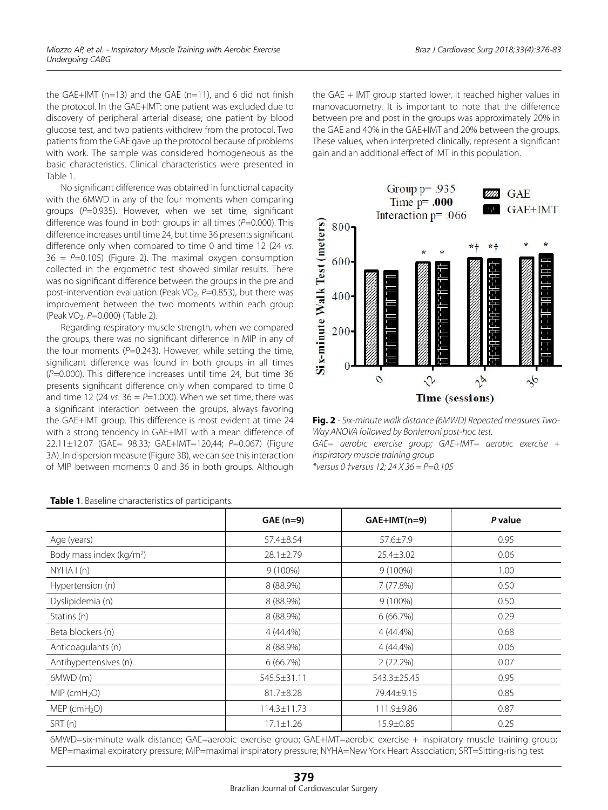the GAE+IMT (n=13) and the GAE (n=11), and 6 did not finish the protocol. In the GAE+IMT: one patient was excluded due to discovery of peripheral arterial disease; one patient by blood glucose test, and two patients withdrew from the protocol. Two patients from the GAE gave up the protocol because of problems with work. The sample was considered homogeneous as the basic characteristics. Clinical characteristics were presented in Table 1.

No significant difference was obtained in functional capacity with the 6MWD in any of the four moments when comparing groups (*P*=0.935). However, when we set time, significant difference was found in both groups in all times (P=0.000). This difference increases until time 24, but time 36 presents significant difference only when compared to time 0 and time 12 (24 *vs*. 36 = *P*=0.105) (Figure 2). The maximal oxygen consumption collected in the ergometric test showed similar results. There was no significant difference between the groups in the pre and post-intervention evaluation (Peak VO<sub>2</sub>, P=0.853), but there was improvement between the two moments within each group (Peak VO2, *P*=0.000) (Table 2).

Regarding respiratory muscle strength, when we compared the groups, there was no significant difference in MIP in any of the four moments ( $P=0.243$ ). However, while setting the time, significant difference was found in both groups in all times (*P*=0.000). This difference increases until time 24, but time 36 presents significant difference only when compared to time 0 and time 12 (24 *vs.*  $36 = P = 1.000$ ). When we set time, there was a significant interaction between the groups, always favoring the GAE+IMT group. This difference is most evident at time 24 with a strong tendency in GAE+IMT with a mean difference of 22.11±12.07 (GAE= 98.33; GAE+IMT=120,44; *P*=0.067) (Figure 3A). In dispersion measure (Figure 3B), we can see this interaction of MIP between moments 0 and 36 in both groups. Although

**Table 1**. Baseline characteristics of participants.

the GAE + IMT group started lower, it reached higher values in manovacuometry. It is important to note that the difference between pre and post in the groups was approximately 20% in the GAE and 40% in the GAE+IMT and 20% between the groups. These values, when interpreted clinically, represent a significant gain and an additional effect of IMT in this population.



**Fig. 2** *- Six-minute walk distance (6MWD) Repeated measures Two-Way ANOVA followed by Bonferroni post-hoc test. GAE= aerobic exercise group; GAE+IMT= aerobic exercise + inspiratory muscle training group \*versus 0 †versus 12; 24 X 36 = P=0.105*

|                                      | $GAE(n=9)$        | $GAE+IMT(n=9)$  | P value |
|--------------------------------------|-------------------|-----------------|---------|
| Age (years)                          | 57.4±8.54         | $57.6 + 7.9$    | 0.95    |
| Body mass index (kg/m <sup>2</sup> ) | $28.1 \pm 2.79$   | $25.4 \pm 3.02$ | 0.06    |
| NYHAI(n)                             | $9(100\%)$        | $9(100\%)$      | 1.00    |
| Hypertension (n)                     | 8 (88.9%)         | 7 (77.8%)       | 0.50    |
| Dyslipidemia (n)                     | 8 (88.9%)         | $9(100\%)$      | 0.50    |
| Statins (n)                          | 8 (88.9%)         | 6(66.7%)        | 0.29    |
| Beta blockers (n)                    | $4(44.4\%)$       | $4(44.4\%)$     | 0.68    |
| Anticoagulants (n)                   | 8 (88.9%)         | $4(44.4\%)$     | 0.06    |
| Antihypertensives (n)                | 6(66.7%)          | $2(22.2\%)$     | 0.07    |
| 6MWD(m)                              | 545.5±31.11       | 543.3±25.45     | 0.95    |
| $MIP$ (cmH <sub>2</sub> O)           | $81.7 \pm 8.28$   | 79.44±9.15      | 0.85    |
| $MEP$ (cmH <sub>2</sub> O)           | $114.3 \pm 11.73$ | 111.9±9.86      | 0.87    |
| SRT(n)                               | $17.1 \pm 1.26$   | 15.9±0.85       | 0.25    |

6MWD=six-minute walk distance; GAE=aerobic exercise group; GAE+IMT=aerobic exercise + inspiratory muscle training group; MEP=maximal expiratory pressure; MIP=maximal inspiratory pressure; NYHA=New York Heart Association; SRT=Sitting-rising test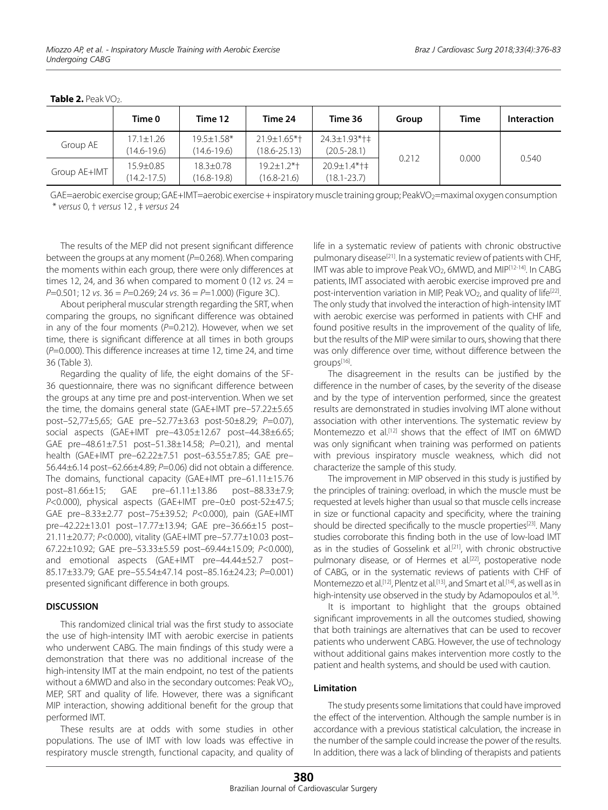|              | Time 0                             | Time 12                         | Time 24                                | Time 36                               | Group | Time  | <b>Interaction</b> |
|--------------|------------------------------------|---------------------------------|----------------------------------------|---------------------------------------|-------|-------|--------------------|
| Group AE     | 17.1±1.26<br>(14.6-19.6)           | $19.5 \pm 1.58*$<br>(14.6-19.6) | $21.9 \pm 1.65$ *†<br>$(18.6 - 25.13)$ | 24.3±1.93*†‡<br>$(20.5 - 28.1)$       | 0.212 | 0.000 | 0.540              |
| Group AE+IMT | $15.9 \pm 0.85$<br>$(14.2 - 17.5)$ | $18.3 \pm 0.78$<br>(16.8-19.8)  | $19.2 \pm 1.2$ *†<br>$(16.8 - 21.6)$   | $20.9 \pm 1.4$ *†‡<br>$(18.1 - 23.7)$ |       |       |                    |

#### Table 2. Peak VO<sub>2</sub>.

GAE=aerobic exercise group; GAE+IMT=aerobic exercise + inspiratory muscle training group; PeakVO<sub>2</sub>=maximal oxygen consumption \* *versus* 0, † *versus* 12 , ‡ *versus* 24

The results of the MEP did not present significant difference between the groups at any moment ( $P=0.268$ ). When comparing the moments within each group, there were only differences at times 12, 24, and 36 when compared to moment 0 (12 *vs*. 24 = *P*=0.501; 12 *vs*. 36 = *P*=0.269; 24 *vs*. 36 = *P*=1.000) (Figure 3C).

About peripheral muscular strength regarding the SRT, when comparing the groups, no significant difference was obtained in any of the four moments (P=0.212). However, when we set time, there is significant difference at all times in both groups (*P*=0.000). This difference increases at time 12, time 24, and time 36 (Table 3).

Regarding the quality of life, the eight domains of the SF-36 questionnaire, there was no significant difference between the groups at any time pre and post-intervention. When we set the time, the domains general state (GAE+IMT pre–57.22±5.65 post–52,77±5,65; GAE pre–52.77±3.63 post-50±8.29; *P*=0.07), social aspects (GAE+IMT pre–43.05±12.67 post–44.38±6.65; GAE pre–48.61±7.51 post–51.38±14.58; *P*=0.21), and mental health (GAE+IMT pre–62.22±7.51 post–63.55±7.85; GAE pre– 56.44±6.14 post–62.66±4.89; *P*=0.06) did not obtain a difference. The domains, functional capacity (GAE+IMT pre–61.11±15.76 post–81.66±15; GAE pre–61.11±13.86 post–88.33±7.9; *P*<0.000), physical aspects (GAE+IMT pre–0±0 post-52±47.5; GAE pre–8.33±2.77 post–75±39.52; *P*<0.000), pain (GAE+IMT pre–42.22±13.01 post–17.77±13.94; GAE pre–36.66±15 post– 21.11±20.77; *P*<0.000), vitality (GAE+IMT pre–57.77±10.03 post– 67.22±10.92; GAE pre–53.33±5.59 post–69.44±15.09; *P*<0.000), and emotional aspects (GAE+IMT pre–44.44±52.7 post– 85.17±33.79; GAE pre–55.54±47.14 post–85.16±24.23; *P*=0.001) presented significant difference in both groups.

#### **DISCUSSION**

This randomized clinical trial was the first study to associate the use of high-intensity IMT with aerobic exercise in patients who underwent CABG. The main findings of this study were a demonstration that there was no additional increase of the high-intensity IMT at the main endpoint, no test of the patients without a 6MWD and also in the secondary outcomes: Peak  $VO<sub>2</sub>$ , MEP, SRT and quality of life. However, there was a significant MIP interaction, showing additional benefit for the group that performed IMT.

These results are at odds with some studies in other populations. The use of IMT with low loads was effective in respiratory muscle strength, functional capacity, and quality of

life in a systematic review of patients with chronic obstructive pulmonary disease<sup>[21]</sup>. In a systematic review of patients with CHF, IMT was able to improve Peak VO<sub>2</sub>, 6MWD, and MIP<sup>[12-14]</sup>. In CABG patients, IMT associated with aerobic exercise improved pre and post-intervention variation in MIP, Peak VO<sub>2</sub>, and quality of life<sup>[22]</sup>. The only study that involved the interaction of high-intensity IMT with aerobic exercise was performed in patients with CHF and found positive results in the improvement of the quality of life, but the results of the MIP were similar to ours, showing that there was only difference over time, without difference between the groups[16].

The disagreement in the results can be justified by the difference in the number of cases, by the severity of the disease and by the type of intervention performed, since the greatest results are demonstrated in studies involving IMT alone without association with other interventions. The systematic review by Montemezzo et al.[12] shows that the effect of IMT on 6MWD was only significant when training was performed on patients with previous inspiratory muscle weakness, which did not characterize the sample of this study.

The improvement in MIP observed in this study is justified by the principles of training: overload, in which the muscle must be requested at levels higher than usual so that muscle cells increase in size or functional capacity and specificity, where the training should be directed specifically to the muscle properties<sup>[23]</sup>. Many studies corroborate this finding both in the use of low-load IMT as in the studies of Gosselink et al.<sup>[21]</sup>, with chronic obstructive pulmonary disease, or of Hermes et al.<sup>[22]</sup>, postoperative node of CABG, or in the systematic reviews of patients with CHF of Montemezzo et al.<sup>[12]</sup>, Plentz et al.<sup>[13]</sup>, and Smart et al.<sup>[14]</sup>, as well as in high-intensity use observed in the study by Adamopoulos et al.<sup>16</sup>.

It is important to highlight that the groups obtained significant improvements in all the outcomes studied, showing that both trainings are alternatives that can be used to recover patients who underwent CABG. However, the use of technology without additional gains makes intervention more costly to the patient and health systems, and should be used with caution.

#### **Limitation**

The study presents some limitations that could have improved the effect of the intervention. Although the sample number is in accordance with a previous statistical calculation, the increase in the number of the sample could increase the power of the results. In addition, there was a lack of blinding of therapists and patients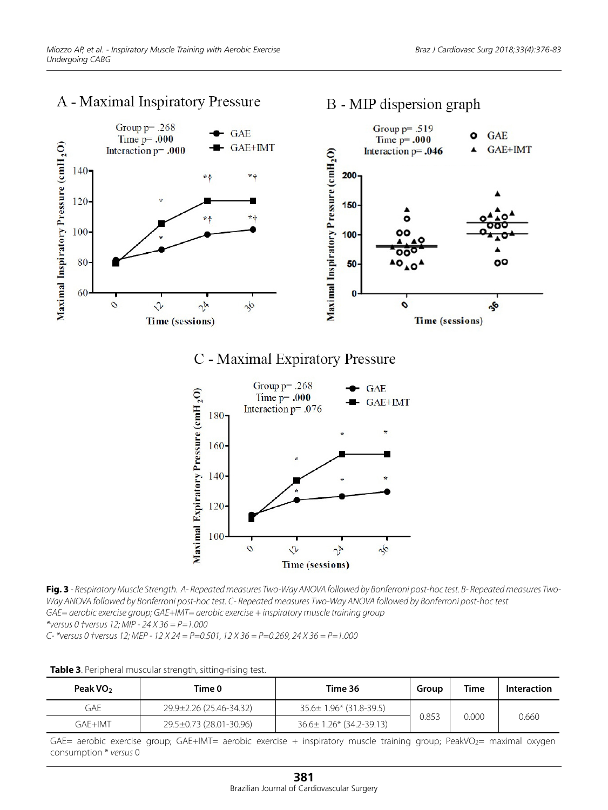# A - Maximal Inspiratory Pressure

# B - MIP dispersion graph



# C - Maximal Expiratory Pressure





*\*versus 0 †versus 12; MIP - 24 X 36 = P=1.000* 

*C- \*versus 0 †versus 12; MEP - 12 X 24 = P=0.501, 12 X 36 = P=0.269, 24 X 36 = P=1.000*

| Table 3. Peripheral muscular strength, sitting-rising test. |  |  |
|-------------------------------------------------------------|--|--|
|-------------------------------------------------------------|--|--|

| Peak VO <sub>2</sub> | Time 0                  | Time 36                        | Group | Time           | <b>Interaction</b> |
|----------------------|-------------------------|--------------------------------|-------|----------------|--------------------|
| GAF                  | 29.9±2.26 (25.46-34.32) | $35.6 \pm 1.96$ * (31.8-39.5)  |       | 0.000<br>0.660 |                    |
| GAF+IMT              | 29.5±0.73 (28.01-30.96) | $36.6 \pm 1.26$ * (34.2-39.13) | 0.853 |                |                    |

GAE= aerobic exercise group; GAE+IMT= aerobic exercise + inspiratory muscle training group; PeakVO2= maximal oxygen consumption \* *versus* 0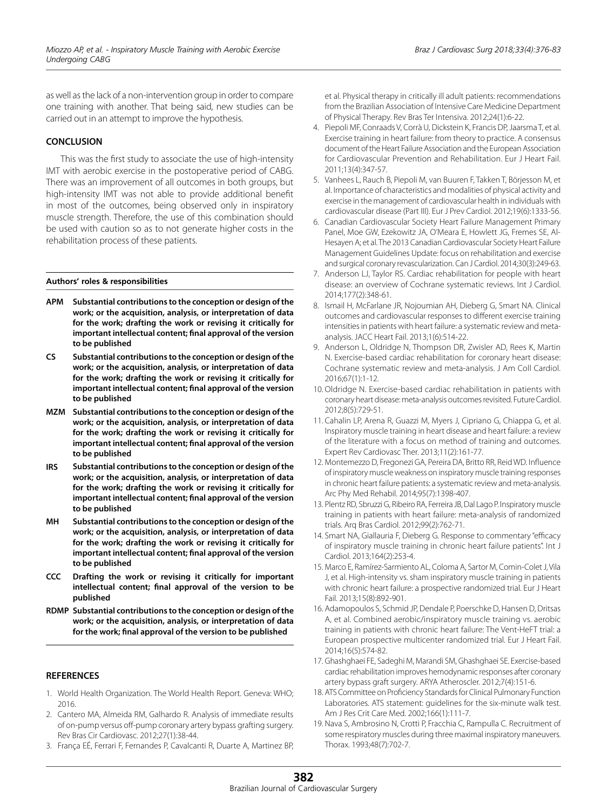as well as the lack of a non-intervention group in order to compare one training with another. That being said, new studies can be carried out in an attempt to improve the hypothesis.

# **CONCLUSION**

This was the first study to associate the use of high-intensity IMT with aerobic exercise in the postoperative period of CABG. There was an improvement of all outcomes in both groups, but high-intensity IMT was not able to provide additional benefit in most of the outcomes, being observed only in inspiratory muscle strength. Therefore, the use of this combination should be used with caution so as to not generate higher costs in the rehabilitation process of these patients.

#### **Authors' roles & responsibilities**

- **APM Substantial contributions to the conception or design of the work; or the acquisition, analysis, or interpretation of data for the work; drafting the work or revising it critically for important intellectual content; final approval of the version to be published**
- **CS Substantial contributions to the conception or design of the work; or the acquisition, analysis, or interpretation of data for the work; drafting the work or revising it critically for important intellectual content; final approval of the version to be published**
- **MZM Substantial contributions to the conception or design of the work; or the acquisition, analysis, or interpretation of data for the work; drafting the work or revising it critically for important intellectual content; final approval of the version to be published**
- **IRS Substantial contributions to the conception or design of the work; or the acquisition, analysis, or interpretation of data for the work; drafting the work or revising it critically for important intellectual content; final approval of the version to be published**
- **MH Substantial contributions to the conception or design of the work; or the acquisition, analysis, or interpretation of data for the work; drafting the work or revising it critically for important intellectual content; final approval of the version to be published**
- **CCC Drafting the work or revising it critically for important intellectual content; final approval of the version to be published**
- **RDMP Substantial contributions to the conception or design of the work; or the acquisition, analysis, or interpretation of data for the work; final approval of the version to be published**

#### **REFERENCES**

- 1. World Health Organization. The World Health Report. Geneva: WHO; 2016.
- 2. Cantero MA, Almeida RM, Galhardo R. Analysis of immediate results of on-pump versus off-pump coronary artery bypass grafting surgery. Rev Bras Cir Cardiovasc. 2012;27(1):38-44.
- 3. França EÉ, Ferrari F, Fernandes P, Cavalcanti R, Duarte A, Martinez BP,

et al. Physical therapy in critically ill adult patients: recommendations from the Brazilian Association of Intensive Care Medicine Department of Physical Therapy. Rev Bras Ter Intensiva. 2012;24(1):6-22.

- 4. Piepoli MF, Conraads V, Corrà U, Dickstein K, Francis DP, Jaarsma T, et al. Exercise training in heart failure: from theory to practice. A consensus document of the Heart Failure Association and the European Association for Cardiovascular Prevention and Rehabilitation. Eur J Heart Fail. 2011;13(4):347-57.
- 5. Vanhees L, Rauch B, Piepoli M, van Buuren F, Takken T, Börjesson M, et al. Importance of characteristics and modalities of physical activity and exercise in the management of cardiovascular health in individuals with cardiovascular disease (Part III). Eur J Prev Cardiol. 2012;19(6):1333-56.
- 6. Canadian Cardiovascular Society Heart Failure Management Primary Panel, Moe GW, Ezekowitz JA, O'Meara E, Howlett JG, Fremes SE, Al-Hesayen A; et al. The 2013 Canadian Cardiovascular Society Heart Failure Management Guidelines Update: focus on rehabilitation and exercise and surgical coronary revascularization. Can J Cardiol. 2014;30(3):249-63.
- 7. Anderson LJ, Taylor RS. Cardiac rehabilitation for people with heart disease: an overview of Cochrane systematic reviews. Int J Cardiol. 2014;177(2):348-61.
- 8. Ismail H, McFarlane JR, Nojoumian AH, Dieberg G, Smart NA. Clinical outcomes and cardiovascular responses to different exercise training intensities in patients with heart failure: a systematic review and metaanalysis. JACC Heart Fail. 2013;1(6):514-22.
- 9. Anderson L, Oldridge N, Thompson DR, Zwisler AD, Rees K, Martin N. Exercise-based cardiac rehabilitation for coronary heart disease: Cochrane systematic review and meta-analysis. J Am Coll Cardiol. 2016;67(1):1-12.
- 10. Oldridge N. Exercise-based cardiac rehabilitation in patients with coronary heart disease: meta-analysis outcomes revisited. Future Cardiol. 2012;8(5):729-51.
- 11. Cahalin LP, Arena R, Guazzi M, Myers J, Cipriano G, Chiappa G, et al. Inspiratory muscle training in heart disease and heart failure: a review of the literature with a focus on method of training and outcomes. Expert Rev Cardiovasc Ther. 2013;11(2):161-77.
- 12. Montemezzo D, Fregonezi GA, Pereira DA, Britto RR, Reid WD. Influence of inspiratory muscle weakness on inspiratory muscle training responses in chronic heart failure patients: a systematic review and meta-analysis. Arc Phy Med Rehabil. 2014;95(7):1398-407.
- 13. Plentz RD, Sbruzzi G, Ribeiro RA, Ferreira JB, Dal Lago P. Inspiratory muscle training in patients with heart failure: meta-analysis of randomized trials. Arq Bras Cardiol. 2012;99(2):762-71.
- 14. Smart NA, Giallauria F, Dieberg G. Response to commentary "efficacy of inspiratory muscle training in chronic heart failure patients". Int J Cardiol. 2013;164(2):253-4.
- 15. Marco E, Ramírez-Sarmiento AL, Coloma A, Sartor M, Comin-Colet J, Vila J, et al. High-intensity vs. sham inspiratory muscle training in patients with chronic heart failure: a prospective randomized trial. Eur J Heart Fail. 2013;15(8):892-901.
- 16. Adamopoulos S, Schmid JP, Dendale P, Poerschke D, Hansen D, Dritsas A, et al. Combined aerobic/inspiratory muscle training vs. aerobic training in patients with chronic heart failure: The Vent-HeFT trial: a European prospective multicenter randomized trial. Eur J Heart Fail. 2014;16(5):574-82.
- 17. Ghashghaei FE, Sadeghi M, Marandi SM, Ghashghaei SE. Exercise-based cardiac rehabilitation improves hemodynamic responses after coronary artery bypass graft surgery. ARYA Atheroscler. 2012;7(4):151-6.
- 18. ATS Committee on Proficiency Standards for Clinical Pulmonary Function Laboratories. ATS statement: guidelines for the six-minute walk test. Am J Res Crit Care Med. 2002;166(1):111-7.
- 19. Nava S, Ambrosino N, Crotti P, Fracchia C, Rampulla C. Recruitment of some respiratory muscles during three maximal inspiratory maneuvers. Thorax. 1993;48(7):702-7.